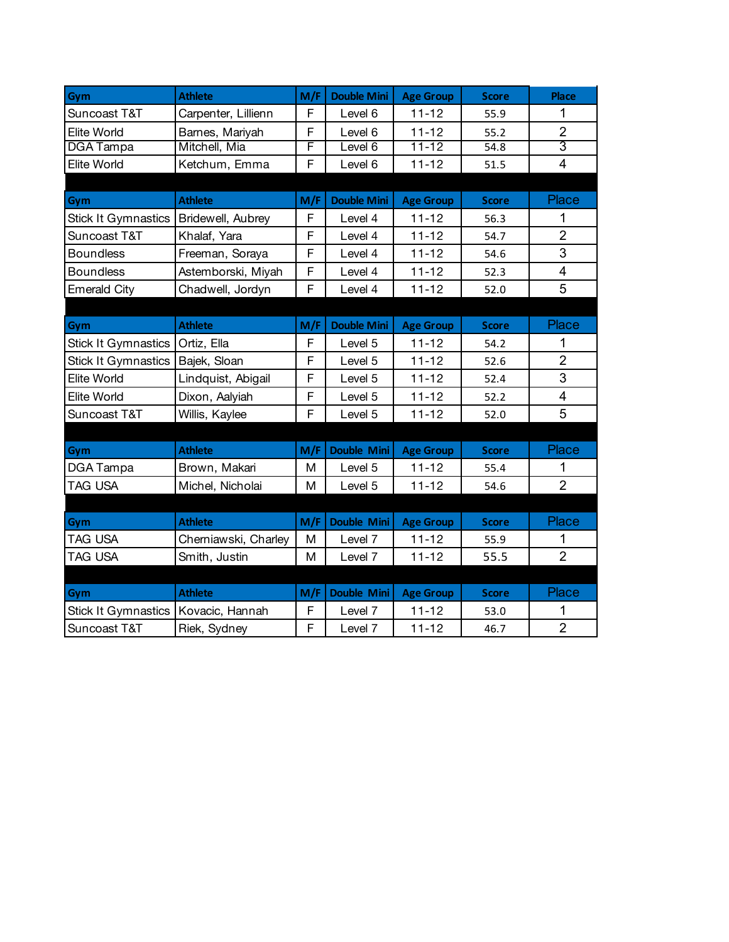| Gym                        | <b>Athlete</b>       | M/F | <b>Double Mini</b> | <b>Age Group</b> | <b>Score</b> | <b>Place</b>            |
|----------------------------|----------------------|-----|--------------------|------------------|--------------|-------------------------|
| Suncoast T&T               | Carpenter, Lillienn  | F   | Level 6            | $11 - 12$        | 55.9         | 1                       |
| <b>Elite World</b>         | Barnes, Mariyah      | F   | Level 6            | $11 - 12$        | 55.2         | $\overline{2}$          |
| <b>DGA</b> Tampa           | Mitchell, Mia        | F   | evel 6             | $11 - 12$        | 54.8         | $\overline{3}$          |
| Elite World                | Ketchum, Emma        | F   | Level 6            | $11 - 12$        | 51.5         | $\overline{4}$          |
|                            |                      |     |                    |                  |              |                         |
| Gym                        | <b>Athlete</b>       | M/F | <b>Double Mini</b> | <b>Age Group</b> | <b>Score</b> | Place                   |
| <b>Stick It Gymnastics</b> | Bridewell, Aubrey    | F   | Level 4            | $11 - 12$        | 56.3         | 1                       |
| Suncoast T&T               | Khalaf, Yara         | F   | Level 4            | $11 - 12$        | 54.7         | $\overline{2}$          |
| <b>Boundless</b>           | Freeman, Soraya      | F   | Level 4            | $11 - 12$        | 54.6         | 3                       |
| <b>Boundless</b>           | Astemborski, Miyah   | F   | Level 4            | $11 - 12$        | 52.3         | $\overline{\mathbf{4}}$ |
| <b>Emerald City</b>        | Chadwell, Jordyn     | F   | Level 4            | $11 - 12$        | 52.0         | 5                       |
|                            |                      |     |                    |                  |              |                         |
| Gym                        | <b>Athlete</b>       | M/F | <b>Double Mini</b> | <b>Age Group</b> | <b>Score</b> | Place                   |
| <b>Stick It Gymnastics</b> | Ortiz, Ella          | F   | Level 5            | $11 - 12$        | 54.2         | 1                       |
| <b>Stick It Gymnastics</b> | Bajek, Sloan         | F   | Level 5            | $11 - 12$        | 52.6         | $\overline{2}$          |
| Elite World                | Lindquist, Abigail   | F   | Level 5            | $11 - 12$        | 52.4         | 3                       |
| Elite World                | Dixon, Aalyiah       | F   | Level 5            | $11 - 12$        | 52.2         | 4                       |
| Suncoast T&T               | Willis, Kaylee       | F   | Level 5            | $11 - 12$        | 52.0         | 5                       |
|                            |                      |     |                    |                  |              |                         |
| Gym                        | <b>Athlete</b>       | M/F | <b>Double Mini</b> | <b>Age Group</b> | <b>Score</b> | Place                   |
| DGA Tampa                  | Brown, Makari        | M   | Level 5            | $11 - 12$        | 55.4         | 1                       |
| <b>TAG USA</b>             | Michel, Nicholai     | M   | Level 5            | $11 - 12$        | 54.6         | $\overline{2}$          |
|                            |                      |     |                    |                  |              |                         |
| Gym                        | <b>Athlete</b>       | M/F | <b>Double Mini</b> | <b>Age Group</b> | <b>Score</b> | Place                   |
| TAG USA                    | Cherniawski, Charley | M   | Level 7            | $11 - 12$        | 55.9         |                         |
| TAG USA                    | Smith, Justin        | M   | Level 7            | $11 - 12$        | 55.5         | $\overline{2}$          |
|                            |                      |     |                    |                  |              |                         |
| Gym                        | <b>Athlete</b>       | M/F | Double Mini        | <b>Age Group</b> | <b>Score</b> | Place                   |
| <b>Stick It Gymnastics</b> | Kovacic, Hannah      | F   | Level 7            | $11 - 12$        | 53.0         | 1                       |
| Suncoast T&T               | Riek, Sydney         | F   | Level 7            | $11 - 12$        | 46.7         | $\overline{2}$          |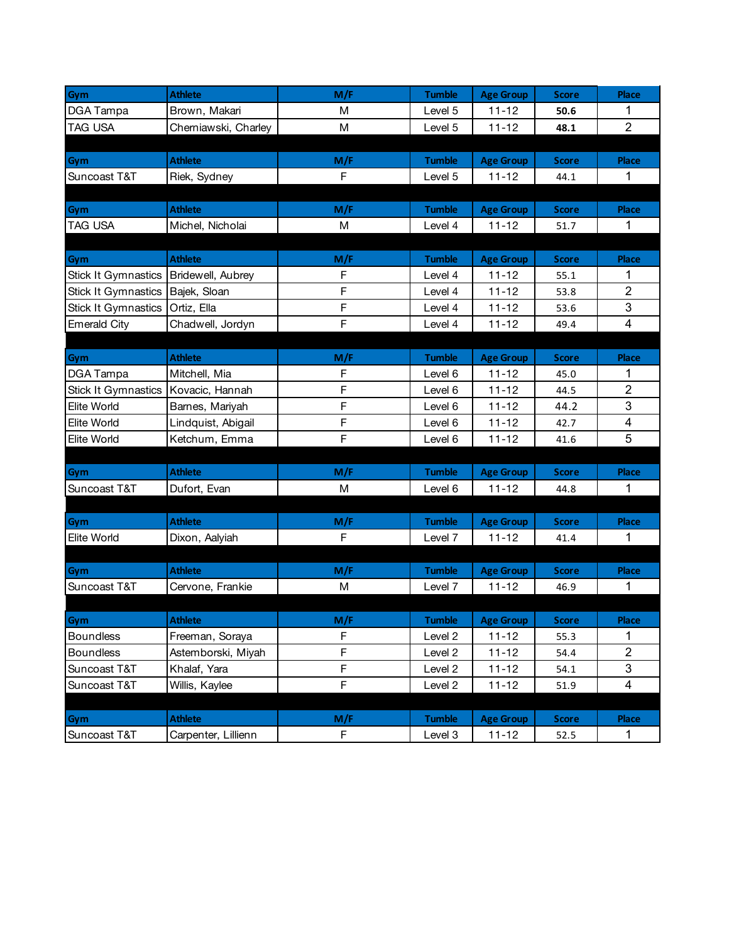| Gym                        | <b>Athlete</b>       | M/F            | <b>Tumble</b> | <b>Age Group</b> | <b>Score</b> | Place                    |
|----------------------------|----------------------|----------------|---------------|------------------|--------------|--------------------------|
| DGA Tampa                  | Brown, Makari        | М              | Level 5       | $11 - 12$        | 50.6         | 1                        |
| <b>TAG USA</b>             | Cherniawski, Charley | M              | Level 5       | $11 - 12$        | 48.1         | $\overline{2}$           |
|                            |                      |                |               |                  |              |                          |
| Gym                        | <b>Athlete</b>       | M/F            | <b>Tumble</b> | <b>Age Group</b> | <b>Score</b> | Place                    |
| Suncoast T&T               | Riek, Sydney         | F              | Level 5       | $11 - 12$        | 44.1         | -1                       |
|                            |                      |                |               |                  |              |                          |
| Gym                        | <b>Athlete</b>       | M/F            | <b>Tumble</b> | <b>Age Group</b> | <b>Score</b> | Place                    |
| <b>TAG USA</b>             | Michel, Nicholai     | M              | Level 4       | $11 - 12$        | 51.7         | 1                        |
|                            |                      |                |               |                  |              |                          |
| Gym                        | <b>Athlete</b>       | M/F            | <b>Tumble</b> | <b>Age Group</b> | <b>Score</b> | <b>Place</b>             |
| <b>Stick It Gymnastics</b> | Bridewell, Aubrey    | F              | Level 4       | $11 - 12$        | 55.1         | 1                        |
| <b>Stick It Gymnastics</b> | Bajek, Sloan         | F              | Level 4       | $11 - 12$        | 53.8         | $\mathbf{2}$             |
| <b>Stick It Gymnastics</b> | Ortiz, Ella          | F              | Level 4       | $11 - 12$        | 53.6         | 3                        |
| <b>Emerald City</b>        | Chadwell, Jordyn     | F              | Level 4       | $11 - 12$        | 49.4         | 4                        |
|                            |                      |                |               |                  |              |                          |
| Gym                        | <b>Athlete</b>       | M/F            | <b>Tumble</b> | <b>Age Group</b> | <b>Score</b> | Place                    |
| DGA Tampa                  | Mitchell, Mia        | F              | Level 6       | $11 - 12$        | 45.0         | 1                        |
| <b>Stick It Gymnastics</b> | Kovacic, Hannah      | F              | Level 6       | $11 - 12$        | 44.5         | $\overline{2}$           |
| <b>Elite World</b>         | Barnes, Mariyah      | F              | Level 6       | $11 - 12$        | 44.2         | $\sqrt{3}$               |
| Elite World                | Lindquist, Abigail   | F              | Level 6       | $11 - 12$        | 42.7         | $\overline{\mathcal{A}}$ |
| <b>Elite World</b>         | Ketchum, Emma        | F              | Level 6       | $11 - 12$        | 41.6         | 5                        |
|                            |                      |                |               |                  |              |                          |
| Gym                        | <b>Athlete</b>       | M/F            | <b>Tumble</b> | <b>Age Group</b> | <b>Score</b> | Place                    |
| Suncoast T&T               | Dufort, Evan         | M              | Level 6       | $11 - 12$        | 44.8         | 1                        |
|                            |                      |                |               |                  |              |                          |
| Gym                        | <b>Athlete</b>       | M/F            | <b>Tumble</b> | <b>Age Group</b> | <b>Score</b> | Place                    |
| <b>Elite World</b>         | Dixon, Aalyiah       | F              | Level 7       | $11 - 12$        | 41.4         | 1                        |
|                            |                      |                |               |                  |              |                          |
| Gym                        | <b>Athlete</b>       | M/F            | <b>Tumble</b> | <b>Age Group</b> | <b>Score</b> | Place                    |
| Suncoast T&T               | Cervone, Frankie     | M              | Level 7       | $11 - 12$        | 46.9         | 1                        |
|                            |                      |                |               |                  |              |                          |
| Gym                        | <b>Athlete</b>       | M/F            | <b>Tumble</b> | <b>Age Group</b> | <b>Score</b> | <b>Place</b>             |
| <b>Boundless</b>           | Freeman, Soraya      | F              | Level 2       | $11 - 12$        | 55.3         | 1                        |
| <b>Boundless</b>           | Astemborski, Miyah   | F              | Level 2       | $11 - 12$        | 54.4         | $\overline{2}$           |
| Suncoast T&T               | Khalaf, Yara         | $\overline{F}$ | Level 2       | $11 - 12$        | 54.1         | 3                        |
| Suncoast T&T               | Willis, Kaylee       | F              | Level 2       | $11 - 12$        | 51.9         | $\overline{4}$           |
|                            |                      |                |               |                  |              |                          |
| Gym                        | <b>Athlete</b>       | M/F            | <b>Tumble</b> | <b>Age Group</b> | <b>Score</b> | Place                    |
| Suncoast T&T               | Carpenter, Lillienn  | F              | Level 3       | $11 - 12$        | 52.5         | $\mathbf{1}$             |